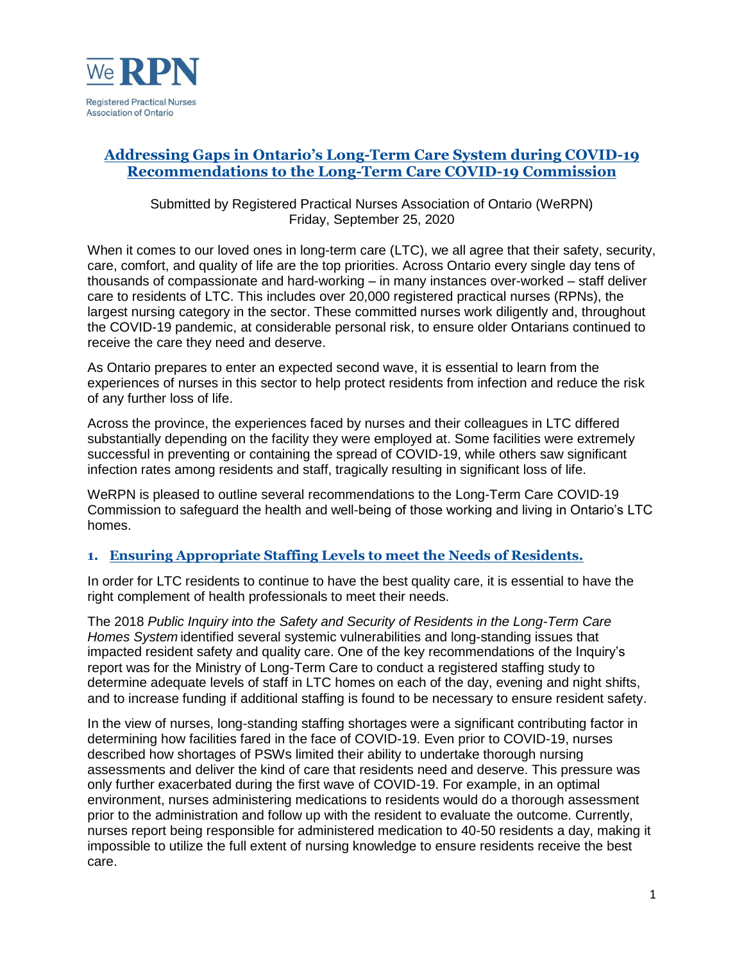

## **Addressing Gaps in Ontario's Long-Term Care System during COVID-19 Recommendations to the Long-Term Care COVID-19 Commission**

Submitted by Registered Practical Nurses Association of Ontario (WeRPN) Friday, September 25, 2020

When it comes to our loved ones in long-term care (LTC), we all agree that their safety, security, care, comfort, and quality of life are the top priorities. Across Ontario every single day tens of thousands of compassionate and hard-working – in many instances over-worked – staff deliver care to residents of LTC. This includes over 20,000 registered practical nurses (RPNs), the largest nursing category in the sector. These committed nurses work diligently and, throughout the COVID-19 pandemic, at considerable personal risk, to ensure older Ontarians continued to receive the care they need and deserve.

As Ontario prepares to enter an expected second wave, it is essential to learn from the experiences of nurses in this sector to help protect residents from infection and reduce the risk of any further loss of life.

Across the province, the experiences faced by nurses and their colleagues in LTC differed substantially depending on the facility they were employed at. Some facilities were extremely successful in preventing or containing the spread of COVID-19, while others saw significant infection rates among residents and staff, tragically resulting in significant loss of life.

WeRPN is pleased to outline several recommendations to the Long-Term Care COVID-19 Commission to safeguard the health and well-being of those working and living in Ontario's LTC homes.

## **1. Ensuring Appropriate Staffing Levels to meet the Needs of Residents.**

In order for LTC residents to continue to have the best quality care, it is essential to have the right complement of health professionals to meet their needs.

The 2018 *Public Inquiry into the Safety and Security of Residents in the Long-Term Care Homes System* identified several systemic vulnerabilities and long-standing issues that impacted resident safety and quality care. One of the key recommendations of the Inquiry's report was for the Ministry of Long-Term Care to conduct a registered staffing study to determine adequate levels of staff in LTC homes on each of the day, evening and night shifts, and to increase funding if additional staffing is found to be necessary to ensure resident safety.

In the view of nurses, long-standing staffing shortages were a significant contributing factor in determining how facilities fared in the face of COVID-19. Even prior to COVID-19, nurses described how shortages of PSWs limited their ability to undertake thorough nursing assessments and deliver the kind of care that residents need and deserve. This pressure was only further exacerbated during the first wave of COVID-19. For example, in an optimal environment, nurses administering medications to residents would do a thorough assessment prior to the administration and follow up with the resident to evaluate the outcome. Currently, nurses report being responsible for administered medication to 40-50 residents a day, making it impossible to utilize the full extent of nursing knowledge to ensure residents receive the best care.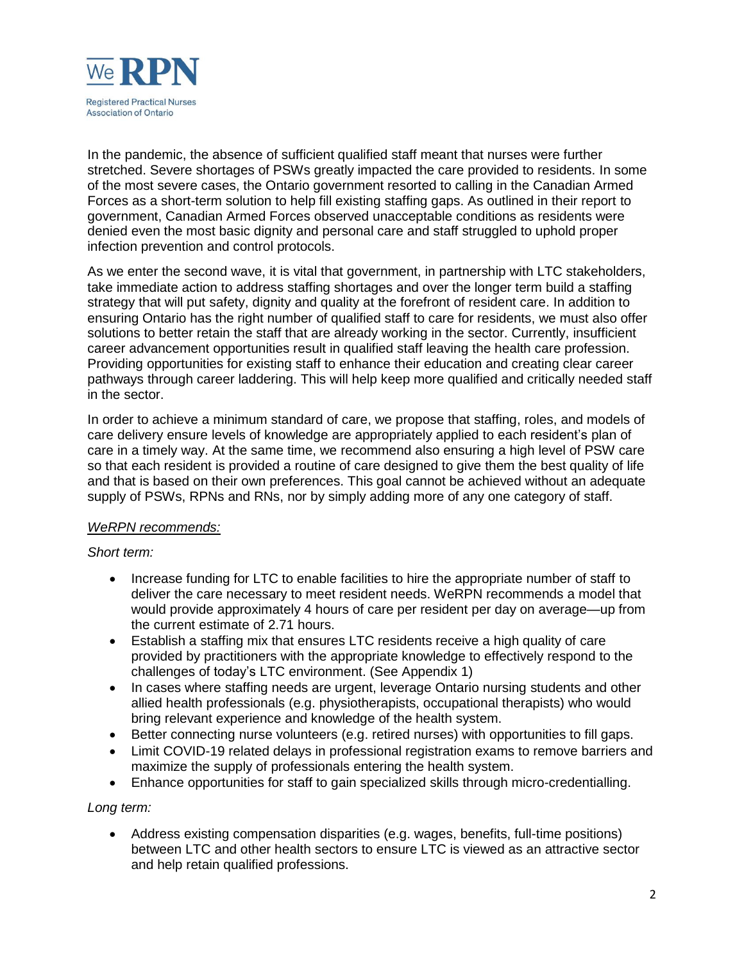

In the pandemic, the absence of sufficient qualified staff meant that nurses were further stretched. Severe shortages of PSWs greatly impacted the care provided to residents. In some of the most severe cases, the Ontario government resorted to calling in the Canadian Armed Forces as a short-term solution to help fill existing staffing gaps. As outlined in their report to government, Canadian Armed Forces observed unacceptable conditions as residents were denied even the most basic dignity and personal care and staff struggled to uphold proper infection prevention and control protocols.

As we enter the second wave, it is vital that government, in partnership with LTC stakeholders, take immediate action to address staffing shortages and over the longer term build a staffing strategy that will put safety, dignity and quality at the forefront of resident care. In addition to ensuring Ontario has the right number of qualified staff to care for residents, we must also offer solutions to better retain the staff that are already working in the sector. Currently, insufficient career advancement opportunities result in qualified staff leaving the health care profession. Providing opportunities for existing staff to enhance their education and creating clear career pathways through career laddering. This will help keep more qualified and critically needed staff in the sector.

In order to achieve a minimum standard of care, we propose that staffing, roles, and models of care delivery ensure levels of knowledge are appropriately applied to each resident's plan of care in a timely way. At the same time, we recommend also ensuring a high level of PSW care so that each resident is provided a routine of care designed to give them the best quality of life and that is based on their own preferences. This goal cannot be achieved without an adequate supply of PSWs, RPNs and RNs, nor by simply adding more of any one category of staff.

#### *WeRPN recommends:*

#### *Short term:*

- Increase funding for LTC to enable facilities to hire the appropriate number of staff to deliver the care necessary to meet resident needs. WeRPN recommends a model that would provide approximately 4 hours of care per resident per day on average—up from the current estimate of 2.71 hours.
- Establish a staffing mix that ensures LTC residents receive a high quality of care provided by practitioners with the appropriate knowledge to effectively respond to the challenges of today's LTC environment. (See Appendix 1)
- In cases where staffing needs are urgent, leverage Ontario nursing students and other allied health professionals (e.g. physiotherapists, occupational therapists) who would bring relevant experience and knowledge of the health system.
- Better connecting nurse volunteers (e.g. retired nurses) with opportunities to fill gaps.
- Limit COVID-19 related delays in professional registration exams to remove barriers and maximize the supply of professionals entering the health system.
- Enhance opportunities for staff to gain specialized skills through micro-credentialling.

### *Long term:*

 Address existing compensation disparities (e.g. wages, benefits, full-time positions) between LTC and other health sectors to ensure LTC is viewed as an attractive sector and help retain qualified professions.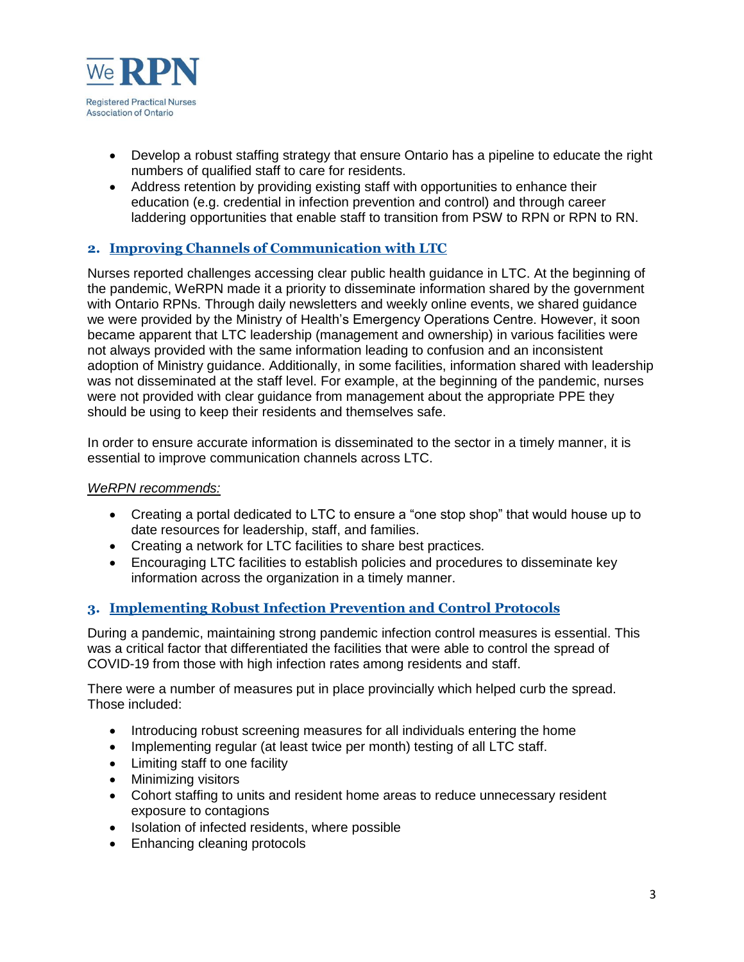

- Develop a robust staffing strategy that ensure Ontario has a pipeline to educate the right numbers of qualified staff to care for residents.
- Address retention by providing existing staff with opportunities to enhance their education (e.g. credential in infection prevention and control) and through career laddering opportunities that enable staff to transition from PSW to RPN or RPN to RN.

## **2. Improving Channels of Communication with LTC**

Nurses reported challenges accessing clear public health guidance in LTC. At the beginning of the pandemic, WeRPN made it a priority to disseminate information shared by the government with Ontario RPNs. Through daily newsletters and weekly online events, we shared guidance we were provided by the Ministry of Health's Emergency Operations Centre. However, it soon became apparent that LTC leadership (management and ownership) in various facilities were not always provided with the same information leading to confusion and an inconsistent adoption of Ministry guidance. Additionally, in some facilities, information shared with leadership was not disseminated at the staff level. For example, at the beginning of the pandemic, nurses were not provided with clear guidance from management about the appropriate PPE they should be using to keep their residents and themselves safe.

In order to ensure accurate information is disseminated to the sector in a timely manner, it is essential to improve communication channels across LTC.

#### *WeRPN recommends:*

- Creating a portal dedicated to LTC to ensure a "one stop shop" that would house up to date resources for leadership, staff, and families.
- Creating a network for LTC facilities to share best practices.
- Encouraging LTC facilities to establish policies and procedures to disseminate key information across the organization in a timely manner.

### **3. Implementing Robust Infection Prevention and Control Protocols**

During a pandemic, maintaining strong pandemic infection control measures is essential. This was a critical factor that differentiated the facilities that were able to control the spread of COVID-19 from those with high infection rates among residents and staff.

There were a number of measures put in place provincially which helped curb the spread. Those included:

- Introducing robust screening measures for all individuals entering the home
- Implementing regular (at least twice per month) testing of all LTC staff.
- Limiting staff to one facility
- Minimizing visitors
- Cohort staffing to units and resident home areas to reduce unnecessary resident exposure to contagions
- Isolation of infected residents, where possible
- Enhancing cleaning protocols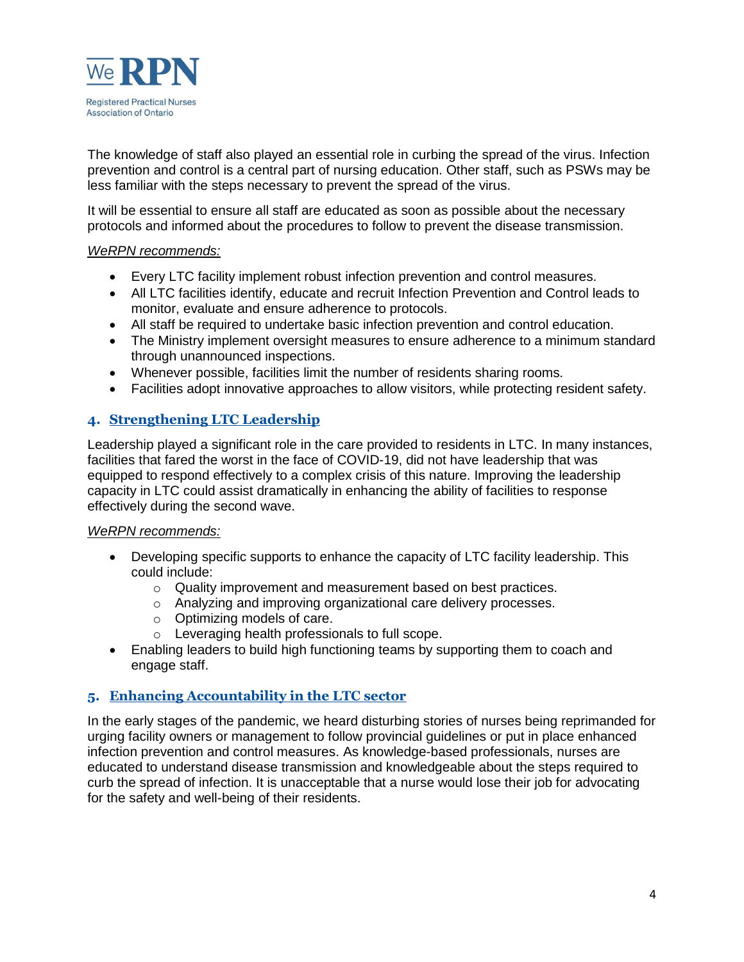

The knowledge of staff also played an essential role in curbing the spread of the virus. Infection prevention and control is a central part of nursing education. Other staff, such as PSWs may be less familiar with the steps necessary to prevent the spread of the virus.

It will be essential to ensure all staff are educated as soon as possible about the necessary protocols and informed about the procedures to follow to prevent the disease transmission.

### *WeRPN recommends:*

- Every LTC facility implement robust infection prevention and control measures.
- All LTC facilities identify, educate and recruit Infection Prevention and Control leads to monitor, evaluate and ensure adherence to protocols.
- All staff be required to undertake basic infection prevention and control education.
- The Ministry implement oversight measures to ensure adherence to a minimum standard through unannounced inspections.
- Whenever possible, facilities limit the number of residents sharing rooms.
- Facilities adopt innovative approaches to allow visitors, while protecting resident safety.

### **4. Strengthening LTC Leadership**

Leadership played a significant role in the care provided to residents in LTC. In many instances, facilities that fared the worst in the face of COVID-19, did not have leadership that was equipped to respond effectively to a complex crisis of this nature. Improving the leadership capacity in LTC could assist dramatically in enhancing the ability of facilities to response effectively during the second wave.

#### *WeRPN recommends:*

- Developing specific supports to enhance the capacity of LTC facility leadership. This could include:
	- o Quality improvement and measurement based on best practices.
	- o Analyzing and improving organizational care delivery processes.
	- o Optimizing models of care.
	- o Leveraging health professionals to full scope.
- Enabling leaders to build high functioning teams by supporting them to coach and engage staff.

### **5. Enhancing Accountability in the LTC sector**

In the early stages of the pandemic, we heard disturbing stories of nurses being reprimanded for urging facility owners or management to follow provincial guidelines or put in place enhanced infection prevention and control measures. As knowledge-based professionals, nurses are educated to understand disease transmission and knowledgeable about the steps required to curb the spread of infection. It is unacceptable that a nurse would lose their job for advocating for the safety and well-being of their residents.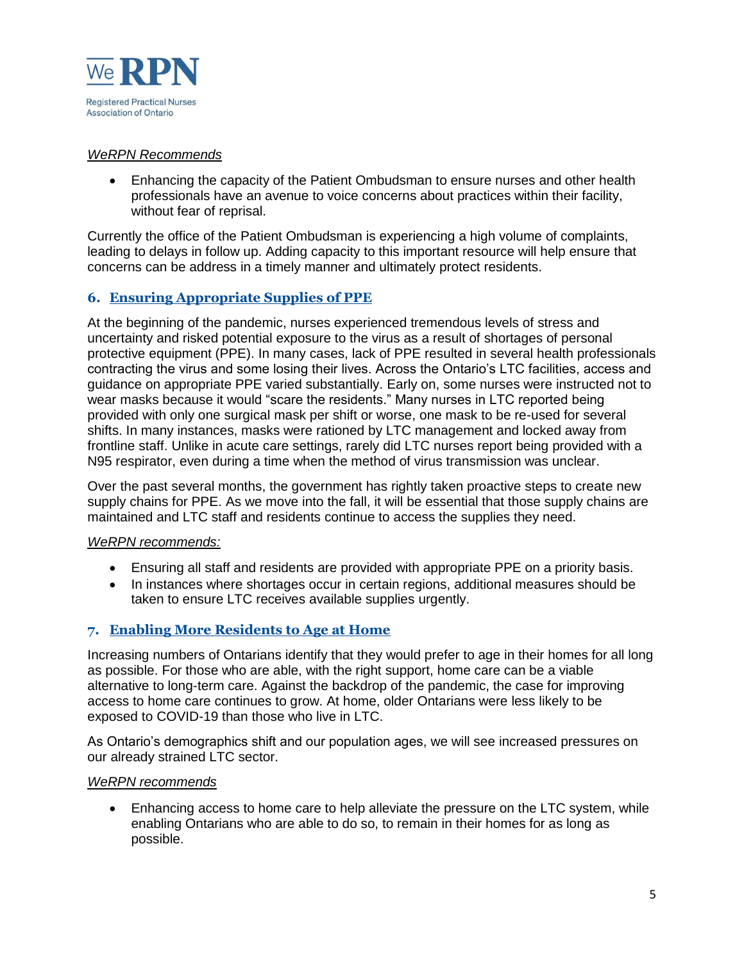

### *WeRPN Recommends*

 Enhancing the capacity of the Patient Ombudsman to ensure nurses and other health professionals have an avenue to voice concerns about practices within their facility, without fear of reprisal.

Currently the office of the Patient Ombudsman is experiencing a high volume of complaints, leading to delays in follow up. Adding capacity to this important resource will help ensure that concerns can be address in a timely manner and ultimately protect residents.

### **6. Ensuring Appropriate Supplies of PPE**

At the beginning of the pandemic, nurses experienced tremendous levels of stress and uncertainty and risked potential exposure to the virus as a result of shortages of personal protective equipment (PPE). In many cases, lack of PPE resulted in several health professionals contracting the virus and some losing their lives. Across the Ontario's LTC facilities, access and guidance on appropriate PPE varied substantially. Early on, some nurses were instructed not to wear masks because it would "scare the residents." Many nurses in LTC reported being provided with only one surgical mask per shift or worse, one mask to be re-used for several shifts. In many instances, masks were rationed by LTC management and locked away from frontline staff. Unlike in acute care settings, rarely did LTC nurses report being provided with a N95 respirator, even during a time when the method of virus transmission was unclear.

Over the past several months, the government has rightly taken proactive steps to create new supply chains for PPE. As we move into the fall, it will be essential that those supply chains are maintained and LTC staff and residents continue to access the supplies they need.

### *WeRPN recommends:*

- Ensuring all staff and residents are provided with appropriate PPE on a priority basis.
- In instances where shortages occur in certain regions, additional measures should be taken to ensure LTC receives available supplies urgently.

### **7. Enabling More Residents to Age at Home**

Increasing numbers of Ontarians identify that they would prefer to age in their homes for all long as possible. For those who are able, with the right support, home care can be a viable alternative to long-term care. Against the backdrop of the pandemic, the case for improving access to home care continues to grow. At home, older Ontarians were less likely to be exposed to COVID-19 than those who live in LTC.

As Ontario's demographics shift and our population ages, we will see increased pressures on our already strained LTC sector.

#### *WeRPN recommends*

 Enhancing access to home care to help alleviate the pressure on the LTC system, while enabling Ontarians who are able to do so, to remain in their homes for as long as possible.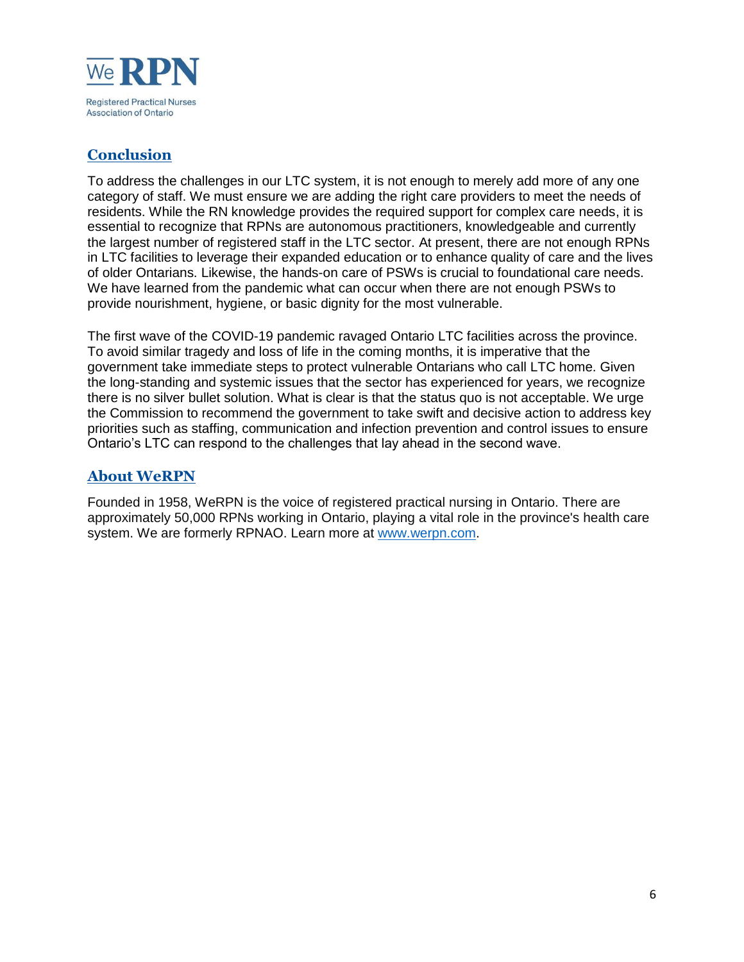

# **Conclusion**

To address the challenges in our LTC system, it is not enough to merely add more of any one category of staff. We must ensure we are adding the right care providers to meet the needs of residents. While the RN knowledge provides the required support for complex care needs, it is essential to recognize that RPNs are autonomous practitioners, knowledgeable and currently the largest number of registered staff in the LTC sector. At present, there are not enough RPNs in LTC facilities to leverage their expanded education or to enhance quality of care and the lives of older Ontarians. Likewise, the hands-on care of PSWs is crucial to foundational care needs. We have learned from the pandemic what can occur when there are not enough PSWs to provide nourishment, hygiene, or basic dignity for the most vulnerable.

The first wave of the COVID-19 pandemic ravaged Ontario LTC facilities across the province. To avoid similar tragedy and loss of life in the coming months, it is imperative that the government take immediate steps to protect vulnerable Ontarians who call LTC home. Given the long-standing and systemic issues that the sector has experienced for years, we recognize there is no silver bullet solution. What is clear is that the status quo is not acceptable. We urge the Commission to recommend the government to take swift and decisive action to address key priorities such as staffing, communication and infection prevention and control issues to ensure Ontario's LTC can respond to the challenges that lay ahead in the second wave.

## **About WeRPN**

Founded in 1958, WeRPN is the voice of registered practical nursing in Ontario. There are approximately 50,000 RPNs working in Ontario, playing a vital role in the province's health care system. We are formerly RPNAO. Learn more at [www.werpn.com.](https://urldefense.proofpoint.com/v2/url?u=https-3A__c212.net_c_link_-3Ft-3D0-26l-3Den-26o-3D2761038-2D1-26h-3D416748996-26u-3Dhttp-253A-252F-252Fwww.werpn.com-252F-26a-3Dwww.werpn.com&d=DwMCAw&c=5oszCido4egZ9x-32Pvn-g&r=X_T3HsvqDb2unR7dPBYyzlF4ajjLZNGJm1xOsLvA4Jk&m=o9muy7MN6IASo-5AVBNiCSkBssKjtE7PnrrGKyBvNdU&s=hxL1P7Dr0Xm7ooGk_dDcn4FJN7DvbdOnUkfZayatGc4&e=)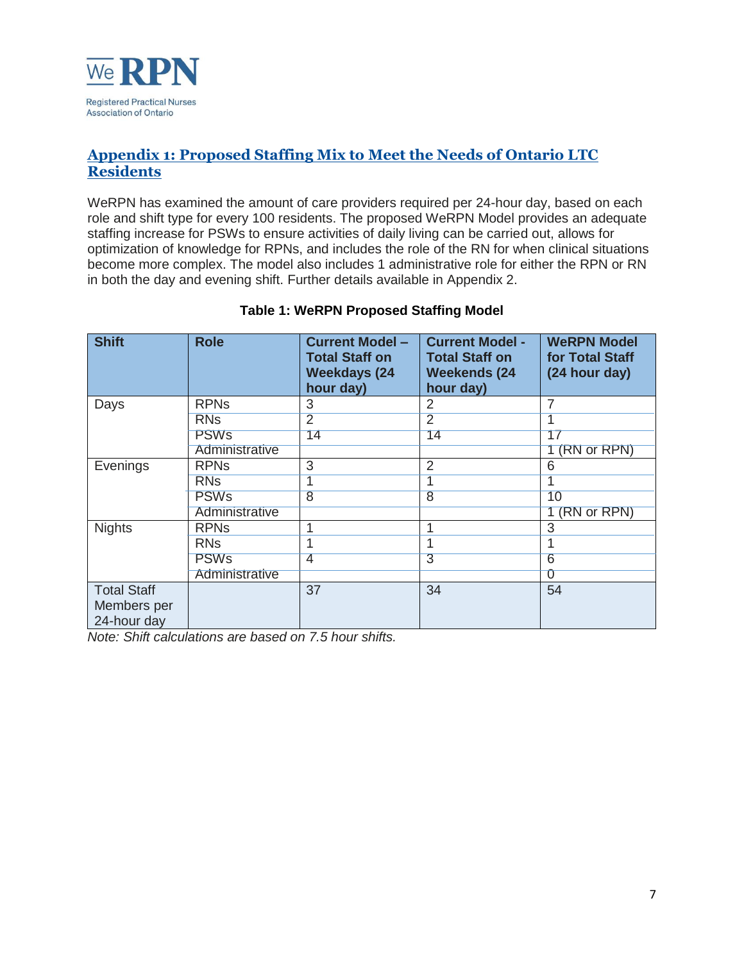

## **Appendix 1: Proposed Staffing Mix to Meet the Needs of Ontario LTC Residents**

WeRPN has examined the amount of care providers required per 24-hour day, based on each role and shift type for every 100 residents. The proposed WeRPN Model provides an adequate staffing increase for PSWs to ensure activities of daily living can be carried out, allows for optimization of knowledge for RPNs, and includes the role of the RN for when clinical situations become more complex. The model also includes 1 administrative role for either the RPN or RN in both the day and evening shift. Further details available in Appendix 2.

| <b>Shift</b>                                     | <b>Role</b>           | <b>Current Model -</b><br><b>Total Staff on</b><br><b>Weekdays (24</b><br>hour day) | <b>Current Model -</b><br><b>Total Staff on</b><br><b>Weekends (24</b><br>hour day) | <b>WeRPN Model</b><br>for Total Staff<br>(24 hour day) |
|--------------------------------------------------|-----------------------|-------------------------------------------------------------------------------------|-------------------------------------------------------------------------------------|--------------------------------------------------------|
| Days                                             | <b>RPNs</b>           | 3                                                                                   | 2                                                                                   |                                                        |
|                                                  | <b>RNs</b>            | 2                                                                                   | $\overline{2}$                                                                      |                                                        |
|                                                  | <b>PSWs</b>           | 14                                                                                  | 14                                                                                  | 17                                                     |
|                                                  | Administrative        |                                                                                     |                                                                                     | (RN or RPN)                                            |
| Evenings                                         | <b>RPNs</b>           | 3                                                                                   | $\overline{2}$                                                                      | 6                                                      |
|                                                  | <b>RNs</b>            |                                                                                     |                                                                                     |                                                        |
|                                                  | <b>PSWs</b>           | $\overline{8}$                                                                      | $\overline{8}$                                                                      | 10                                                     |
|                                                  | Administrative        |                                                                                     |                                                                                     | (RN or RPN)                                            |
| <b>Nights</b>                                    | <b>RPNs</b>           | 4                                                                                   |                                                                                     | 3                                                      |
|                                                  | <b>RN<sub>S</sub></b> |                                                                                     |                                                                                     |                                                        |
|                                                  | <b>PSWs</b>           | 4                                                                                   | 3                                                                                   | 6                                                      |
|                                                  | Administrative        |                                                                                     |                                                                                     | O                                                      |
| <b>Total Staff</b><br>Members per<br>24-hour day |                       | 37                                                                                  | 34                                                                                  | 54                                                     |

### **Table 1: WeRPN Proposed Staffing Model**

*Note: Shift calculations are based on 7.5 hour shifts.*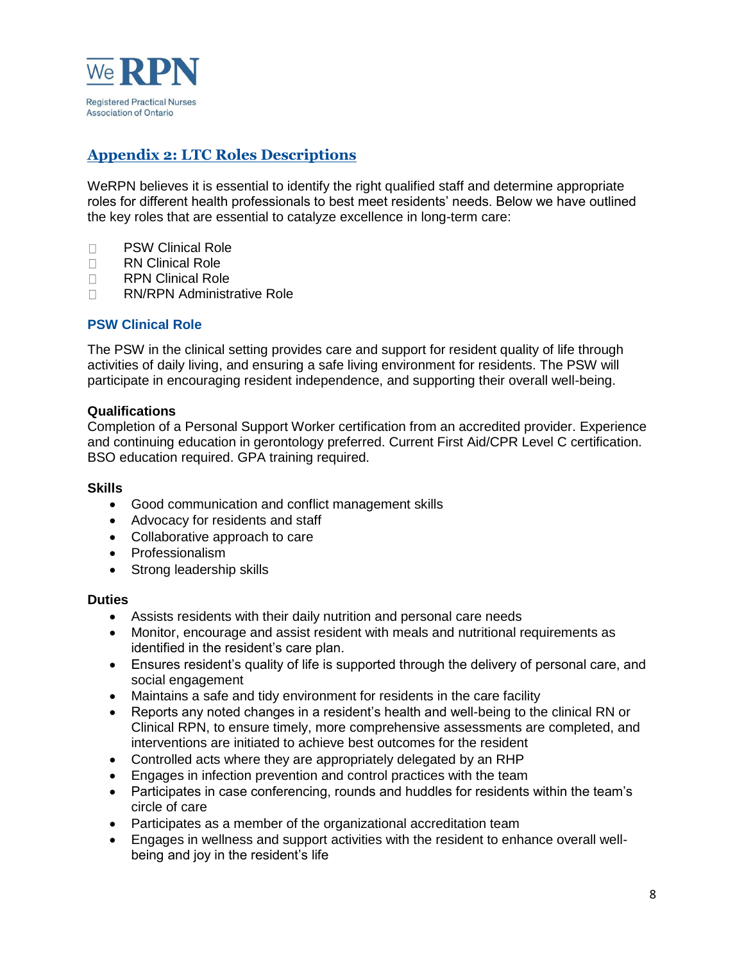

# **Appendix 2: LTC Roles Descriptions**

WeRPN believes it is essential to identify the right qualified staff and determine appropriate roles for different health professionals to best meet residents' needs. Below we have outlined the key roles that are essential to catalyze excellence in long-term care:

- □ PSW Clinical Role
- □ RN Clinical Role
- □ RPN Clinical Role
- □ RN/RPN Administrative Role

### **PSW Clinical Role**

The PSW in the clinical setting provides care and support for resident quality of life through activities of daily living, and ensuring a safe living environment for residents. The PSW will participate in encouraging resident independence, and supporting their overall well-being.

#### **Qualifications**

Completion of a Personal Support Worker certification from an accredited provider. Experience and continuing education in gerontology preferred. Current First Aid/CPR Level C certification. BSO education required. GPA training required.

#### **Skills**

- Good communication and conflict management skills
- Advocacy for residents and staff
- Collaborative approach to care
- Professionalism
- Strong leadership skills

- Assists residents with their daily nutrition and personal care needs
- Monitor, encourage and assist resident with meals and nutritional requirements as identified in the resident's care plan.
- Ensures resident's quality of life is supported through the delivery of personal care, and social engagement
- Maintains a safe and tidy environment for residents in the care facility
- Reports any noted changes in a resident's health and well-being to the clinical RN or Clinical RPN, to ensure timely, more comprehensive assessments are completed, and interventions are initiated to achieve best outcomes for the resident
- Controlled acts where they are appropriately delegated by an RHP
- Engages in infection prevention and control practices with the team
- Participates in case conferencing, rounds and huddles for residents within the team's circle of care
- Participates as a member of the organizational accreditation team
- Engages in wellness and support activities with the resident to enhance overall wellbeing and joy in the resident's life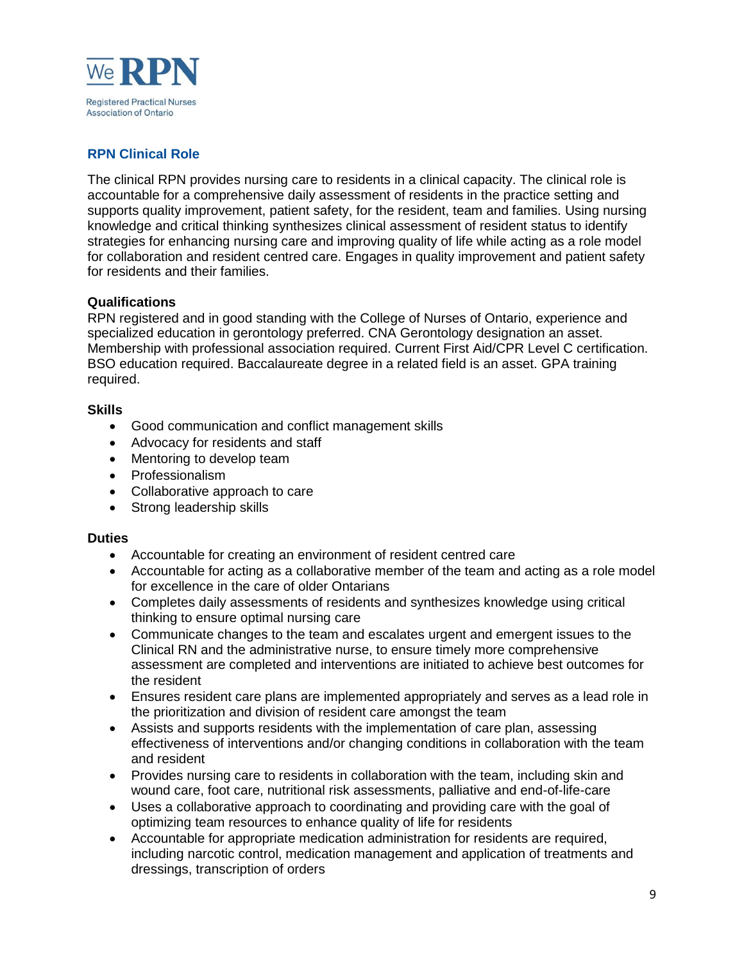

## **RPN Clinical Role**

The clinical RPN provides nursing care to residents in a clinical capacity. The clinical role is accountable for a comprehensive daily assessment of residents in the practice setting and supports quality improvement, patient safety, for the resident, team and families. Using nursing knowledge and critical thinking synthesizes clinical assessment of resident status to identify strategies for enhancing nursing care and improving quality of life while acting as a role model for collaboration and resident centred care. Engages in quality improvement and patient safety for residents and their families.

### **Qualifications**

RPN registered and in good standing with the College of Nurses of Ontario, experience and specialized education in gerontology preferred. CNA Gerontology designation an asset. Membership with professional association required. Current First Aid/CPR Level C certification. BSO education required. Baccalaureate degree in a related field is an asset. GPA training required.

### **Skills**

- Good communication and conflict management skills
- Advocacy for residents and staff
- Mentoring to develop team
- Professionalism
- Collaborative approach to care
- Strong leadership skills

- Accountable for creating an environment of resident centred care
- Accountable for acting as a collaborative member of the team and acting as a role model for excellence in the care of older Ontarians
- Completes daily assessments of residents and synthesizes knowledge using critical thinking to ensure optimal nursing care
- Communicate changes to the team and escalates urgent and emergent issues to the Clinical RN and the administrative nurse, to ensure timely more comprehensive assessment are completed and interventions are initiated to achieve best outcomes for the resident
- Ensures resident care plans are implemented appropriately and serves as a lead role in the prioritization and division of resident care amongst the team
- Assists and supports residents with the implementation of care plan, assessing effectiveness of interventions and/or changing conditions in collaboration with the team and resident
- Provides nursing care to residents in collaboration with the team, including skin and wound care, foot care, nutritional risk assessments, palliative and end-of-life-care
- Uses a collaborative approach to coordinating and providing care with the goal of optimizing team resources to enhance quality of life for residents
- Accountable for appropriate medication administration for residents are required, including narcotic control, medication management and application of treatments and dressings, transcription of orders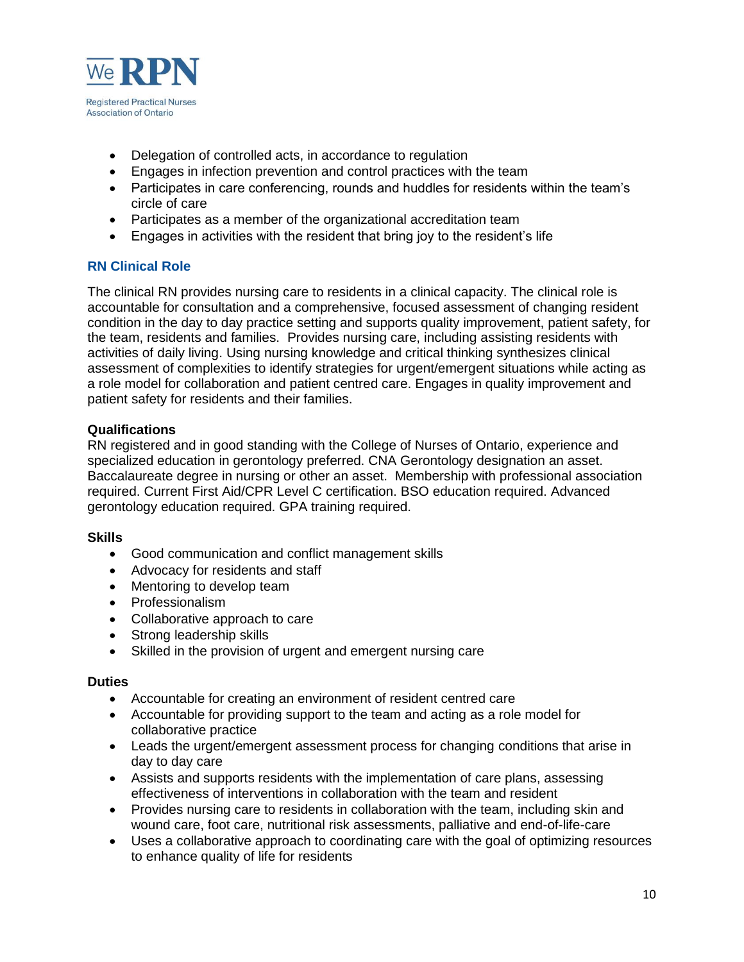

- Delegation of controlled acts, in accordance to regulation
- Engages in infection prevention and control practices with the team
- Participates in care conferencing, rounds and huddles for residents within the team's circle of care
- Participates as a member of the organizational accreditation team
- Engages in activities with the resident that bring joy to the resident's life

### **RN Clinical Role**

The clinical RN provides nursing care to residents in a clinical capacity. The clinical role is accountable for consultation and a comprehensive, focused assessment of changing resident condition in the day to day practice setting and supports quality improvement, patient safety, for the team, residents and families. Provides nursing care, including assisting residents with activities of daily living. Using nursing knowledge and critical thinking synthesizes clinical assessment of complexities to identify strategies for urgent/emergent situations while acting as a role model for collaboration and patient centred care. Engages in quality improvement and patient safety for residents and their families.

### **Qualifications**

RN registered and in good standing with the College of Nurses of Ontario, experience and specialized education in gerontology preferred. CNA Gerontology designation an asset. Baccalaureate degree in nursing or other an asset. Membership with professional association required. Current First Aid/CPR Level C certification. BSO education required. Advanced gerontology education required. GPA training required.

### **Skills**

- Good communication and conflict management skills
- Advocacy for residents and staff
- Mentoring to develop team
- Professionalism
- Collaborative approach to care
- Strong leadership skills
- Skilled in the provision of urgent and emergent nursing care

- Accountable for creating an environment of resident centred care
- Accountable for providing support to the team and acting as a role model for collaborative practice
- Leads the urgent/emergent assessment process for changing conditions that arise in day to day care
- Assists and supports residents with the implementation of care plans, assessing effectiveness of interventions in collaboration with the team and resident
- Provides nursing care to residents in collaboration with the team, including skin and wound care, foot care, nutritional risk assessments, palliative and end-of-life-care
- Uses a collaborative approach to coordinating care with the goal of optimizing resources to enhance quality of life for residents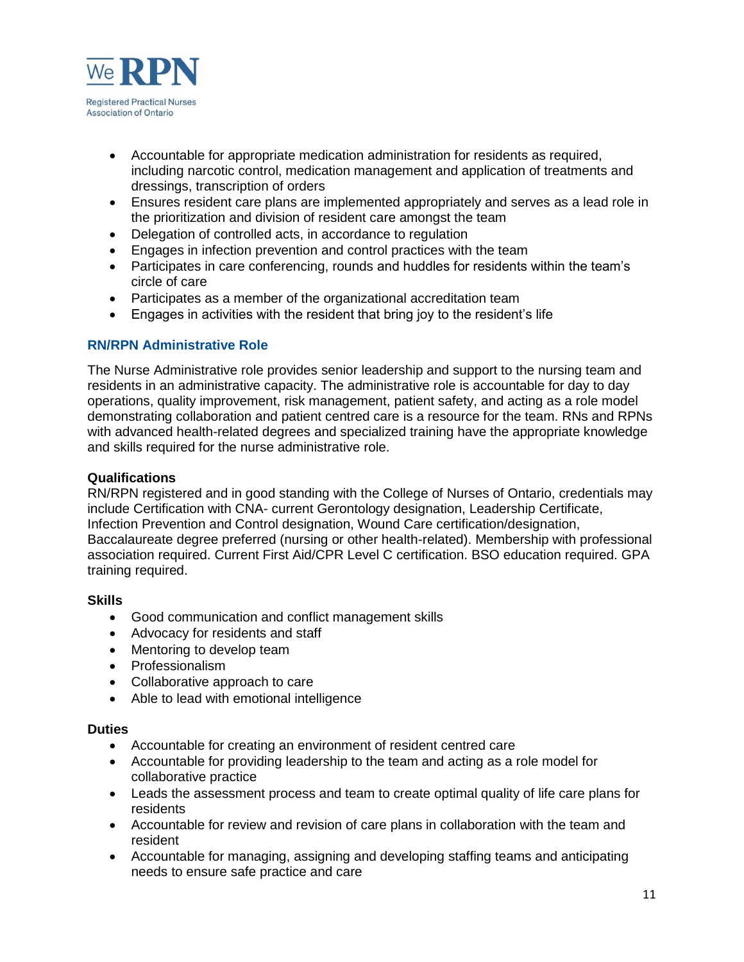

- Accountable for appropriate medication administration for residents as required, including narcotic control, medication management and application of treatments and dressings, transcription of orders
- Ensures resident care plans are implemented appropriately and serves as a lead role in the prioritization and division of resident care amongst the team
- Delegation of controlled acts, in accordance to regulation
- Engages in infection prevention and control practices with the team
- Participates in care conferencing, rounds and huddles for residents within the team's circle of care
- Participates as a member of the organizational accreditation team
- Engages in activities with the resident that bring joy to the resident's life

### **RN/RPN Administrative Role**

The Nurse Administrative role provides senior leadership and support to the nursing team and residents in an administrative capacity. The administrative role is accountable for day to day operations, quality improvement, risk management, patient safety, and acting as a role model demonstrating collaboration and patient centred care is a resource for the team. RNs and RPNs with advanced health-related degrees and specialized training have the appropriate knowledge and skills required for the nurse administrative role.

#### **Qualifications**

RN/RPN registered and in good standing with the College of Nurses of Ontario, credentials may include Certification with CNA- current Gerontology designation, Leadership Certificate, Infection Prevention and Control designation, Wound Care certification/designation, Baccalaureate degree preferred (nursing or other health-related). Membership with professional association required. Current First Aid/CPR Level C certification. BSO education required. GPA training required.

#### **Skills**

- Good communication and conflict management skills
- Advocacy for residents and staff
- Mentoring to develop team
- Professionalism
- Collaborative approach to care
- Able to lead with emotional intelligence

- Accountable for creating an environment of resident centred care
- Accountable for providing leadership to the team and acting as a role model for collaborative practice
- Leads the assessment process and team to create optimal quality of life care plans for residents
- Accountable for review and revision of care plans in collaboration with the team and resident
- Accountable for managing, assigning and developing staffing teams and anticipating needs to ensure safe practice and care